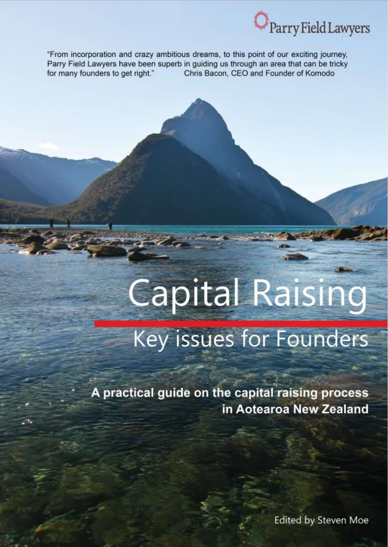

"From incorporation and crazy ambitious dreams, to this point of our exciting journey, Parry Field Lawyers have been superb in guiding us through an area that can be tricky for many founders to get right." Chris Bacon, CEO and Founder of Komodo

# Capital Raising Key issues for Founders

A practical guide on the capital raising process in Aotearoa New Zealand

**Edited by Steven Moe**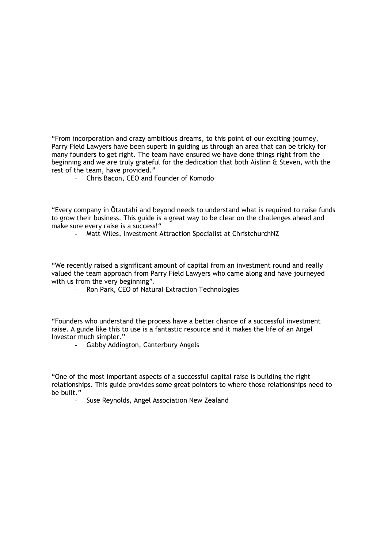"From incorporation and crazy ambitious dreams, to this point of our exciting journey, Parry Field Lawyers have been superb in guiding us through an area that can be tricky for many founders to get right. The team have ensured we have done things right from the beginning and we are truly grateful for the dedication that both Aislinn & Steven, with the rest of the team, have provided."

- Chris Bacon, CEO and Founder of Komodo

"Every company in Ōtautahi and beyond needs to understand what is required to raise funds to grow their business. This guide is a great way to be clear on the challenges ahead and make sure every raise is a success!"

Matt Wiles, Investment Attraction Specialist at ChristchurchNZ

"We recently raised a significant amount of capital from an investment round and really valued the team approach from Parry Field Lawyers who came along and have journeyed with us from the very beginning".

Ron Park, CEO of Natural Extraction Technologies

"Founders who understand the process have a better chance of a successful investment raise. A guide like this to use is a fantastic resource and it makes the life of an Angel Investor much simpler."

- Gabby Addington, Canterbury Angels

"One of the most important aspects of a successful capital raise is building the right relationships. This guide provides some great pointers to where those relationships need to be built."

Suse Reynolds, Angel Association New Zealand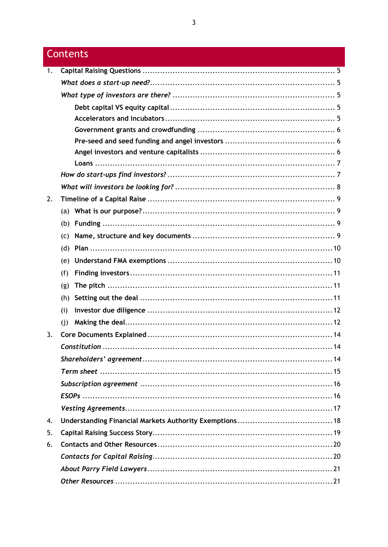## Contents

| 1. |     |  |
|----|-----|--|
|    |     |  |
|    |     |  |
|    |     |  |
|    |     |  |
|    |     |  |
|    |     |  |
|    |     |  |
|    |     |  |
|    |     |  |
|    |     |  |
| 2. |     |  |
|    |     |  |
|    |     |  |
|    | (C) |  |
|    | (d) |  |
|    | (e) |  |
|    | (f) |  |
|    | (g) |  |
|    | (h) |  |
|    | (i) |  |
|    | (i) |  |
| 3. |     |  |
|    |     |  |
|    |     |  |
|    |     |  |
|    |     |  |
|    |     |  |
|    |     |  |
| 4. |     |  |
| 5. |     |  |
| 6. |     |  |
|    |     |  |
|    |     |  |
|    |     |  |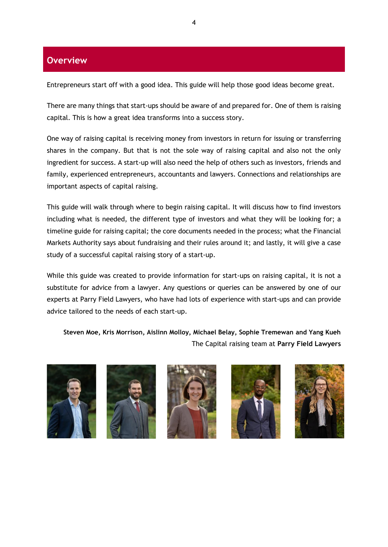## **Overview**

Entrepreneurs start off with a good idea. This guide will help those good ideas become great.

There are many things that start-ups should be aware of and prepared for. One of them is raising capital. This is how a great idea transforms into a success story.

One way of raising capital is receiving money from investors in return for issuing or transferring shares in the company. But that is not the sole way of raising capital and also not the only ingredient for success. A start-up will also need the help of others such as investors, friends and family, experienced entrepreneurs, accountants and lawyers. Connections and relationships are important aspects of capital raising.

This guide will walk through where to begin raising capital. It will discuss how to find investors including what is needed, the different type of investors and what they will be looking for; a timeline guide for raising capital; the core documents needed in the process; what the Financial Markets Authority says about fundraising and their rules around it; and lastly, it will give a case study of a successful capital raising story of a start-up.

While this guide was created to provide information for start-ups on raising capital, it is not a substitute for advice from a lawyer. Any questions or queries can be answered by one of our experts at Parry Field Lawyers, who have had lots of experience with start-ups and can provide advice tailored to the needs of each start-up.

**Steven Moe, Kris Morrison, Aislinn Molloy, Michael Belay, Sophie Tremewan and Yang Kueh** The Capital raising team at **Parry Field Lawyers**









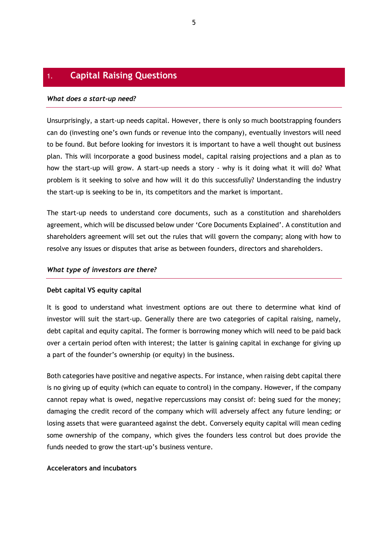## <span id="page-4-0"></span>1. **Capital Raising Questions**

#### <span id="page-4-1"></span>*What does a start-up need?*

Unsurprisingly, a start-up needs capital. However, there is only so much bootstrapping founders can do (investing one's own funds or revenue into the company), eventually investors will need to be found. But before looking for investors it is important to have a well thought out business plan. This will incorporate a good business model, capital raising projections and a plan as to how the start-up will grow. A start-up needs a story - why is it doing what it will do? What problem is it seeking to solve and how will it do this successfully? Understanding the industry the start-up is seeking to be in, its competitors and the market is important.

The start-up needs to understand core documents, such as a constitution and shareholders agreement, which will be discussed below under 'Core Documents Explained'. A constitution and shareholders agreement will set out the rules that will govern the company; along with how to resolve any issues or disputes that arise as between founders, directors and shareholders.

#### <span id="page-4-2"></span>*What type of investors are there?*

#### <span id="page-4-3"></span>**Debt capital VS equity capital**

It is good to understand what investment options are out there to determine what kind of investor will suit the start-up. Generally there are two categories of capital raising, namely, debt capital and equity capital. The former is borrowing money which will need to be paid back over a certain period often with interest; the latter is gaining capital in exchange for giving up a part of the founder's ownership (or equity) in the business.

Both categories have positive and negative aspects. For instance, when raising debt capital there is no giving up of equity (which can equate to control) in the company. However, if the company cannot repay what is owed, negative repercussions may consist of: being sued for the money; damaging the credit record of the company which will adversely affect any future lending; or losing assets that were guaranteed against the debt. Conversely equity capital will mean ceding some ownership of the company, which gives the founders less control but does provide the funds needed to grow the start-up's business venture.

#### <span id="page-4-4"></span>**Accelerators and incubators**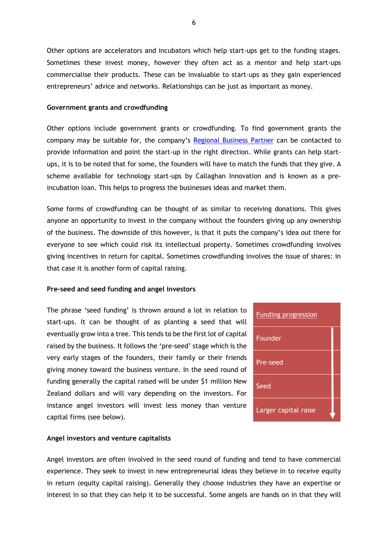Other options are accelerators and incubators which help start-ups get to the funding stages. Sometimes these invest money, however they often act as a mentor and help start-ups commercialise their products. These can be invaluable to start-ups as they gain experienced entrepreneurs' advice and networks. Relationships can be just as important as money.

#### <span id="page-5-0"></span>**Government grants and crowdfunding**

Other options include government grants or crowdfunding. To find government grants the company may be suitable for, the company's [Regional Business Partner](https://www.regionalbusinesspartners.co.nz/) can be contacted to provide information and point the start-up in the right direction. While grants can help startups, it is to be noted that for some, the founders will have to match the funds that they give. A scheme available for technology start-ups by Callaghan Innovation and is known as a preincubation loan. This helps to progress the businesses ideas and market them.

Some forms of crowdfunding can be thought of as similar to receiving donations. This gives anyone an opportunity to invest in the company without the founders giving up any ownership of the business. The downside of this however, is that it puts the company's idea out there for everyone to see which could risk its intellectual property. Sometimes crowdfunding involves giving incentives in return for capital. Sometimes crowdfunding involves the issue of shares: in that case it is another form of capital raising.

#### <span id="page-5-1"></span>**Pre-seed and seed funding and angel investors**

The phrase 'seed funding' is thrown around a lot in relation to start-ups. It can be thought of as planting a seed that will eventually grow into a tree. This tends to be the first lot of capital raised by the business. It follows the 'pre-seed' stage which is the very early stages of the founders, their family or their friends giving money toward the business venture. In the seed round of funding generally the capital raised will be under \$1 million New Zealand dollars and will vary depending on the investors. For instance angel investors will invest less money than venture capital firms (see below).

| <b>Funding progression</b> |  |
|----------------------------|--|
| Founder                    |  |
| Pre-seed                   |  |
| Seed                       |  |
| Larger capital raise       |  |

#### <span id="page-5-2"></span>**Angel investors and venture capitalists**

Angel investors are often involved in the seed round of funding and tend to have commercial experience. They seek to invest in new entrepreneurial ideas they believe in to receive equity in return (equity capital raising). Generally they choose industries they have an expertise or interest in so that they can help it to be successful. Some angels are hands on in that they will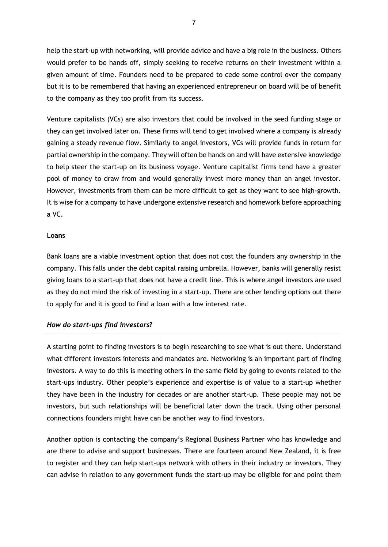help the start-up with networking, will provide advice and have a big role in the business. Others would prefer to be hands off, simply seeking to receive returns on their investment within a given amount of time. Founders need to be prepared to cede some control over the company but it is to be remembered that having an experienced entrepreneur on board will be of benefit to the company as they too profit from its success.

Venture capitalists (VCs) are also investors that could be involved in the seed funding stage or they can get involved later on. These firms will tend to get involved where a company is already gaining a steady revenue flow. Similarly to angel investors, VCs will provide funds in return for partial ownership in the company. They will often be hands on and will have extensive knowledge to help steer the start-up on its business voyage. Venture capitalist firms tend have a greater pool of money to draw from and would generally invest more money than an angel investor. However, investments from them can be more difficult to get as they want to see high-growth. It is wise for a company to have undergone extensive research and homework before approaching a VC.

#### <span id="page-6-0"></span>**Loans**

Bank loans are a viable investment option that does not cost the founders any ownership in the company. This falls under the debt capital raising umbrella. However, banks will generally resist giving loans to a start-up that does not have a credit line. This is where angel investors are used as they do not mind the risk of investing in a start-up. There are other lending options out there to apply for and it is good to find a loan with a low interest rate.

#### <span id="page-6-1"></span>*How do start-ups find investors?*

A starting point to finding investors is to begin researching to see what is out there. Understand what different investors interests and mandates are. Networking is an important part of finding investors. A way to do this is meeting others in the same field by going to events related to the start-ups industry. Other people's experience and expertise is of value to a start-up whether they have been in the industry for decades or are another start-up. These people may not be investors, but such relationships will be beneficial later down the track. Using other personal connections founders might have can be another way to find investors.

Another option is contacting the company's Regional Business Partner who has knowledge and are there to advise and support businesses. There are fourteen around New Zealand, it is free to register and they can help start-ups network with others in their industry or investors. They can advise in relation to any government funds the start-up may be eligible for and point them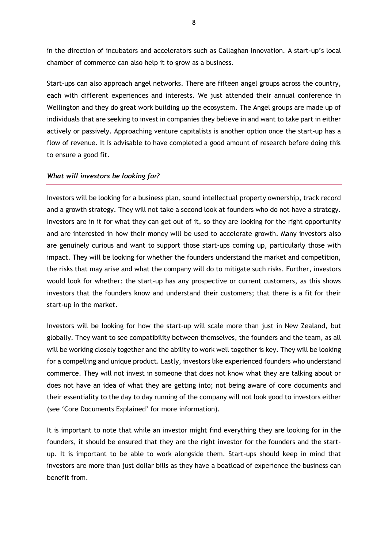in the direction of incubators and accelerators such as Callaghan Innovation. A start-up's local chamber of commerce can also help it to grow as a business.

Start-ups can also approach angel networks. There are fifteen angel groups across the country, each with different experiences and interests. We just attended their annual conference in Wellington and they do great work building up the ecosystem. The Angel groups are made up of individuals that are seeking to invest in companies they believe in and want to take part in either actively or passively. Approaching venture capitalists is another option once the start-up has a flow of revenue. It is advisable to have completed a good amount of research before doing this to ensure a good fit.

#### <span id="page-7-0"></span>*What will investors be looking for?*

Investors will be looking for a business plan, sound intellectual property ownership, track record and a growth strategy. They will not take a second look at founders who do not have a strategy. Investors are in it for what they can get out of it, so they are looking for the right opportunity and are interested in how their money will be used to accelerate growth. Many investors also are genuinely curious and want to support those start-ups coming up, particularly those with impact. They will be looking for whether the founders understand the market and competition, the risks that may arise and what the company will do to mitigate such risks. Further, investors would look for whether: the start-up has any prospective or current customers, as this shows investors that the founders know and understand their customers; that there is a fit for their start-up in the market.

Investors will be looking for how the start-up will scale more than just in New Zealand, but globally. They want to see compatibility between themselves, the founders and the team, as all will be working closely together and the ability to work well together is key. They will be looking for a compelling and unique product. Lastly, investors like experienced founders who understand commerce. They will not invest in someone that does not know what they are talking about or does not have an idea of what they are getting into; not being aware of core documents and their essentiality to the day to day running of the company will not look good to investors either (see 'Core Documents Explained' for more information).

It is important to note that while an investor might find everything they are looking for in the founders, it should be ensured that they are the right investor for the founders and the startup. It is important to be able to work alongside them. Start-ups should keep in mind that investors are more than just dollar bills as they have a boatload of experience the business can benefit from.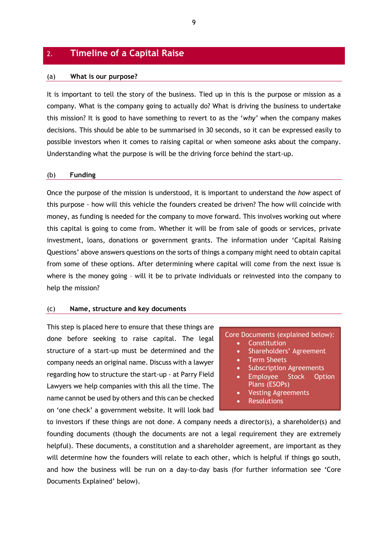## <span id="page-8-0"></span>2. **Timeline of a Capital Raise**

#### <span id="page-8-1"></span>(a) **What is our purpose?**

It is important to tell the story of the business. Tied up in this is the purpose or mission as a company. What is the company going to actually do? What is driving the business to undertake this mission? It is good to have something to revert to as the '*why'* when the company makes decisions. This should be able to be summarised in 30 seconds, so it can be expressed easily to possible investors when it comes to raising capital or when someone asks about the company. Understanding what the purpose is will be the driving force behind the start-up.

#### <span id="page-8-2"></span>(b) **Funding**

Once the purpose of the mission is understood, it is important to understand the *how* aspect of this purpose - how will this vehicle the founders created be driven? The how will coincide with money, as funding is needed for the company to move forward. This involves working out where this capital is going to come from. Whether it will be from sale of goods or services, private investment, loans, donations or government grants. The information under 'Capital Raising Questions' above answers questions on the sorts of things a company might need to obtain capital from some of these options. After determining where capital will come from the next issue is where is the money going – will it be to private individuals or reinvested into the company to help the mission?

#### <span id="page-8-3"></span>(c) **Name, structure and key documents**

This step is placed here to ensure that these things are done before seeking to raise capital. The legal structure of a start-up must be determined and the company needs an original name. Discuss with a lawyer regarding how to structure the start-up - at Parry Field Lawyers we help companies with this all the time. The name cannot be used by others and this can be checked on 'one check' a government website. It will look bad

#### Core Documents (explained below):

- Constitution
- Shareholders' Agreement
- Term Sheets
- Subscription Agreements
- Employee Stock Option Plans (ESOPs)
- Vesting Agreements
- **Resolutions**

to investors if these things are not done. A company needs a director(s), a shareholder(s) and founding documents (though the documents are not a legal requirement they are extremely helpful). These documents, a constitution and a shareholder agreement, are important as they will determine how the founders will relate to each other, which is helpful if things go south, and how the business will be run on a day-to-day basis (for further information see 'Core Documents Explained' below).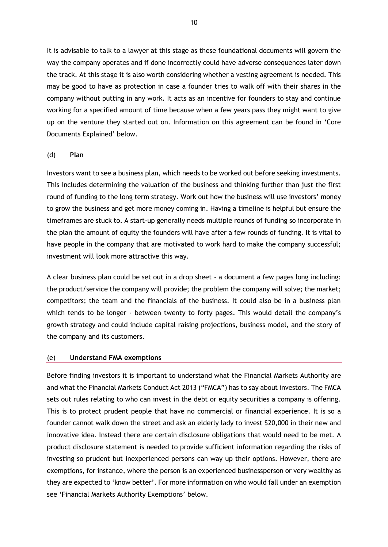It is advisable to talk to a lawyer at this stage as these foundational documents will govern the way the company operates and if done incorrectly could have adverse consequences later down the track. At this stage it is also worth considering whether a vesting agreement is needed. This may be good to have as protection in case a founder tries to walk off with their shares in the company without putting in any work. It acts as an incentive for founders to stay and continue working for a specified amount of time because when a few years pass they might want to give up on the venture they started out on. Information on this agreement can be found in 'Core Documents Explained' below.

#### <span id="page-9-0"></span>(d) **Plan**

Investors want to see a business plan, which needs to be worked out before seeking investments. This includes determining the valuation of the business and thinking further than just the first round of funding to the long term strategy. Work out how the business will use investors' money to grow the business and get more money coming in. Having a timeline is helpful but ensure the timeframes are stuck to. A start-up generally needs multiple rounds of funding so incorporate in the plan the amount of equity the founders will have after a few rounds of funding. It is vital to have people in the company that are motivated to work hard to make the company successful; investment will look more attractive this way.

A clear business plan could be set out in a drop sheet - a document a few pages long including: the product/service the company will provide; the problem the company will solve; the market; competitors; the team and the financials of the business. It could also be in a business plan which tends to be longer - between twenty to forty pages. This would detail the company's growth strategy and could include capital raising projections, business model, and the story of the company and its customers.

#### <span id="page-9-1"></span>(e) **Understand FMA exemptions**

Before finding investors it is important to understand what the Financial Markets Authority are and what the Financial Markets Conduct Act 2013 ("FMCA") has to say about investors. The FMCA sets out rules relating to who can invest in the debt or equity securities a company is offering. This is to protect prudent people that have no commercial or financial experience. It is so a founder cannot walk down the street and ask an elderly lady to invest \$20,000 in their new and innovative idea. Instead there are certain disclosure obligations that would need to be met. A product disclosure statement is needed to provide sufficient information regarding the risks of investing so prudent but inexperienced persons can way up their options. However, there are exemptions, for instance, where the person is an experienced businessperson or very wealthy as they are expected to 'know better'. For more information on who would fall under an exemption see 'Financial Markets Authority Exemptions' below.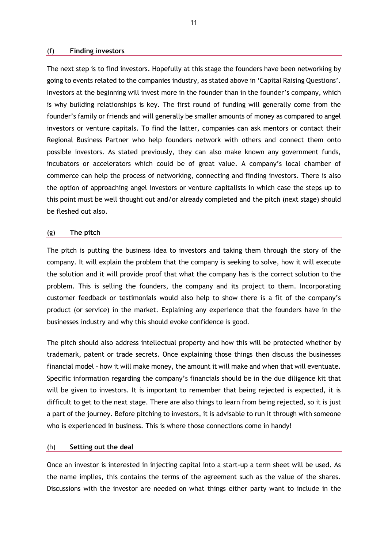#### <span id="page-10-0"></span>(f) **Finding investors**

The next step is to find investors. Hopefully at this stage the founders have been networking by going to events related to the companies industry, as stated above in 'Capital Raising Questions'. Investors at the beginning will invest more in the founder than in the founder's company, which is why building relationships is key. The first round of funding will generally come from the founder's family or friends and will generally be smaller amounts of money as compared to angel investors or venture capitals. To find the latter, companies can ask mentors or contact their Regional Business Partner who help founders network with others and connect them onto possible investors. As stated previously, they can also make known any government funds, incubators or accelerators which could be of great value. A company's local chamber of commerce can help the process of networking, connecting and finding investors. There is also the option of approaching angel investors or venture capitalists in which case the steps up to this point must be well thought out and/or already completed and the pitch (next stage) should be fleshed out also.

#### <span id="page-10-1"></span>(g) **The pitch**

The pitch is putting the business idea to investors and taking them through the story of the company. It will explain the problem that the company is seeking to solve, how it will execute the solution and it will provide proof that what the company has is the correct solution to the problem. This is selling the founders, the company and its project to them. Incorporating customer feedback or testimonials would also help to show there is a fit of the company's product (or service) in the market. Explaining any experience that the founders have in the businesses industry and why this should evoke confidence is good.

The pitch should also address intellectual property and how this will be protected whether by trademark, patent or trade secrets. Once explaining those things then discuss the businesses financial model - how it will make money, the amount it will make and when that will eventuate. Specific information regarding the company's financials should be in the due diligence kit that will be given to investors. It is important to remember that being rejected is expected, it is difficult to get to the next stage. There are also things to learn from being rejected, so it is just a part of the journey. Before pitching to investors, it is advisable to run it through with someone who is experienced in business. This is where those connections come in handy!

#### <span id="page-10-2"></span>(h) **Setting out the deal**

Once an investor is interested in injecting capital into a start-up a term sheet will be used. As the name implies, this contains the terms of the agreement such as the value of the shares. Discussions with the investor are needed on what things either party want to include in the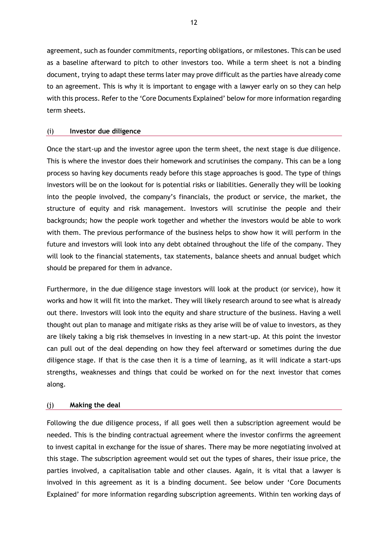agreement, such as founder commitments, reporting obligations, or milestones. This can be used as a baseline afterward to pitch to other investors too. While a term sheet is not a binding document, trying to adapt these terms later may prove difficult as the parties have already come to an agreement. This is why it is important to engage with a lawyer early on so they can help with this process. Refer to the 'Core Documents Explained' below for more information regarding term sheets.

#### <span id="page-11-0"></span>(i) **Investor due diligence**

Once the start-up and the investor agree upon the term sheet, the next stage is due diligence. This is where the investor does their homework and scrutinises the company. This can be a long process so having key documents ready before this stage approaches is good. The type of things investors will be on the lookout for is potential risks or liabilities. Generally they will be looking into the people involved, the company's financials, the product or service, the market, the structure of equity and risk management. Investors will scrutinise the people and their backgrounds; how the people work together and whether the investors would be able to work with them. The previous performance of the business helps to show how it will perform in the future and investors will look into any debt obtained throughout the life of the company. They will look to the financial statements, tax statements, balance sheets and annual budget which should be prepared for them in advance.

Furthermore, in the due diligence stage investors will look at the product (or service), how it works and how it will fit into the market. They will likely research around to see what is already out there. Investors will look into the equity and share structure of the business. Having a well thought out plan to manage and mitigate risks as they arise will be of value to investors, as they are likely taking a big risk themselves in investing in a new start-up. At this point the investor can pull out of the deal depending on how they feel afterward or sometimes during the due diligence stage. If that is the case then it is a time of learning, as it will indicate a start-ups strengths, weaknesses and things that could be worked on for the next investor that comes along.

#### <span id="page-11-1"></span>(j) **Making the deal**

Following the due diligence process, if all goes well then a subscription agreement would be needed. This is the binding contractual agreement where the investor confirms the agreement to invest capital in exchange for the issue of shares. There may be more negotiating involved at this stage. The subscription agreement would set out the types of shares, their issue price, the parties involved, a capitalisation table and other clauses. Again, it is vital that a lawyer is involved in this agreement as it is a binding document. See below under 'Core Documents Explained' for more information regarding subscription agreements. Within ten working days of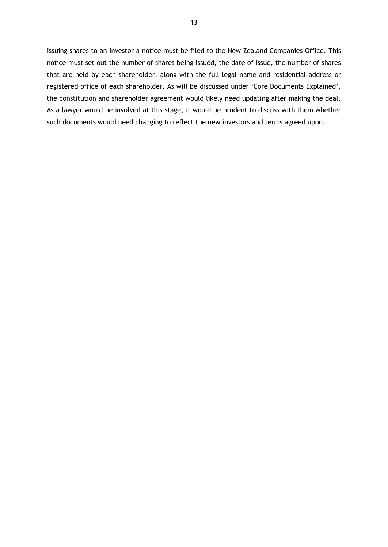issuing shares to an investor a notice must be filed to the New Zealand Companies Office. This notice must set out the number of shares being issued, the date of issue, the number of shares that are held by each shareholder, along with the full legal name and residential address or registered office of each shareholder. As will be discussed under 'Core Documents Explained', the constitution and shareholder agreement would likely need updating after making the deal. As a lawyer would be involved at this stage, it would be prudent to discuss with them whether such documents would need changing to reflect the new investors and terms agreed upon.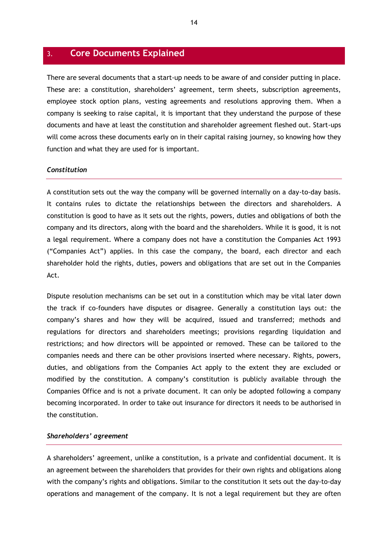### <span id="page-13-0"></span>3. **Core Documents Explained**

There are several documents that a start-up needs to be aware of and consider putting in place. These are: a constitution, shareholders' agreement, term sheets, subscription agreements, employee stock option plans, vesting agreements and resolutions approving them. When a company is seeking to raise capital, it is important that they understand the purpose of these documents and have at least the constitution and shareholder agreement fleshed out. Start-ups will come across these documents early on in their capital raising journey, so knowing how they function and what they are used for is important.

#### <span id="page-13-1"></span>*Constitution*

A constitution sets out the way the company will be governed internally on a day-to-day basis. It contains rules to dictate the relationships between the directors and shareholders. A constitution is good to have as it sets out the rights, powers, duties and obligations of both the company and its directors, along with the board and the shareholders. While it is good, it is not a legal requirement. Where a company does not have a constitution the Companies Act 1993 ("Companies Act") applies. In this case the company, the board, each director and each shareholder hold the rights, duties, powers and obligations that are set out in the Companies Act.

Dispute resolution mechanisms can be set out in a constitution which may be vital later down the track if co-founders have disputes or disagree. Generally a constitution lays out: the company's shares and how they will be acquired, issued and transferred; methods and regulations for directors and shareholders meetings; provisions regarding liquidation and restrictions; and how directors will be appointed or removed. These can be tailored to the companies needs and there can be other provisions inserted where necessary. Rights, powers, duties, and obligations from the Companies Act apply to the extent they are excluded or modified by the constitution. A company's constitution is publicly available through the Companies Office and is not a private document. It can only be adopted following a company becoming incorporated. In order to take out insurance for directors it needs to be authorised in the constitution.

#### <span id="page-13-2"></span>*Shareholders' agreement*

A shareholders' agreement, unlike a constitution, is a private and confidential document. It is an agreement between the shareholders that provides for their own rights and obligations along with the company's rights and obligations. Similar to the constitution it sets out the day-to-day operations and management of the company. It is not a legal requirement but they are often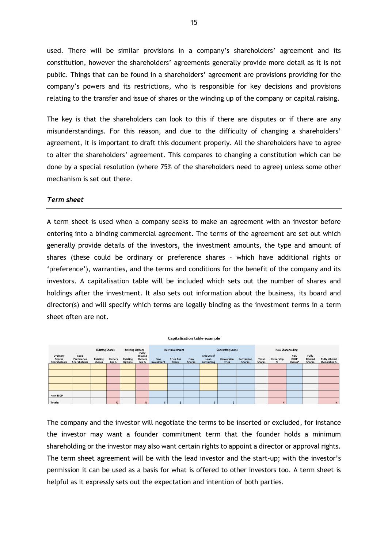used. There will be similar provisions in a company's shareholders' agreement and its constitution, however the shareholders' agreements generally provide more detail as it is not public. Things that can be found in a shareholders' agreement are provisions providing for the company's powers and its restrictions, who is responsible for key decisions and provisions relating to the transfer and issue of shares or the winding up of the company or capital raising.

The key is that the shareholders can look to this if there are disputes or if there are any misunderstandings. For this reason, and due to the difficulty of changing a shareholders' agreement, it is important to draft this document properly. All the shareholders have to agree to alter the shareholders' agreement. This compares to changing a constitution which can be done by a special resolution (where 75% of the shareholders need to agree) unless some other mechanism is set out there.

#### <span id="page-14-0"></span>*Term sheet*

A term sheet is used when a company seeks to make an agreement with an investor before entering into a binding commercial agreement. The terms of the agreement are set out which generally provide details of the investors, the investment amounts, the type and amount of shares (these could be ordinary or preference shares – which have additional rights or 'preference'), warranties, and the terms and conditions for the benefit of the company and its investors. A capitalisation table will be included which sets out the number of shares and holdings after the investment. It also sets out information about the business, its board and director(s) and will specify which terms are legally binding as the investment terms in a term sheet often are not.



The company and the investor will negotiate the terms to be inserted or excluded, for instance the investor may want a founder commitment term that the founder holds a minimum shareholding or the investor may also want certain rights to appoint a director or approval rights. The term sheet agreement will be with the lead investor and the start-up; with the investor's permission it can be used as a basis for what is offered to other investors too. A term sheet is helpful as it expressly sets out the expectation and intention of both parties.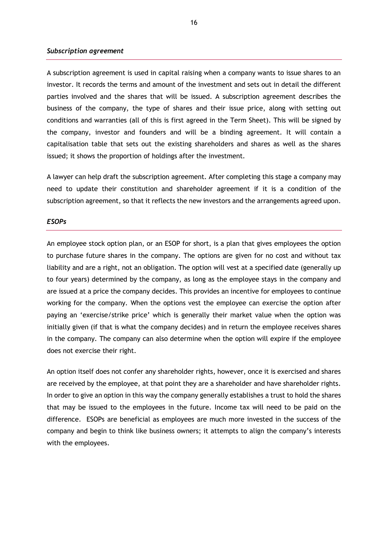#### <span id="page-15-0"></span>*Subscription agreement*

A subscription agreement is used in capital raising when a company wants to issue shares to an investor. It records the terms and amount of the investment and sets out in detail the different parties involved and the shares that will be issued. A subscription agreement describes the business of the company, the type of shares and their issue price, along with setting out conditions and warranties (all of this is first agreed in the Term Sheet). This will be signed by the company, investor and founders and will be a binding agreement. It will contain a capitalisation table that sets out the existing shareholders and shares as well as the shares issued; it shows the proportion of holdings after the investment.

A lawyer can help draft the subscription agreement. After completing this stage a company may need to update their constitution and shareholder agreement if it is a condition of the subscription agreement, so that it reflects the new investors and the arrangements agreed upon.

#### <span id="page-15-1"></span>*ESOPs*

An employee stock option plan, or an ESOP for short, is a plan that gives employees the option to purchase future shares in the company. The options are given for no cost and without tax liability and are a right, not an obligation. The option will vest at a specified date (generally up to four years) determined by the company, as long as the employee stays in the company and are issued at a price the company decides. This provides an incentive for employees to continue working for the company. When the options vest the employee can exercise the option after paying an 'exercise/strike price' which is generally their market value when the option was initially given (if that is what the company decides) and in return the employee receives shares in the company. The company can also determine when the option will expire if the employee does not exercise their right.

An option itself does not confer any shareholder rights, however, once it is exercised and shares are received by the employee, at that point they are a shareholder and have shareholder rights. In order to give an option in this way the company generally establishes a trust to hold the shares that may be issued to the employees in the future. Income tax will need to be paid on the difference. ESOPs are beneficial as employees are much more invested in the success of the company and begin to think like business owners; it attempts to align the company's interests with the employees.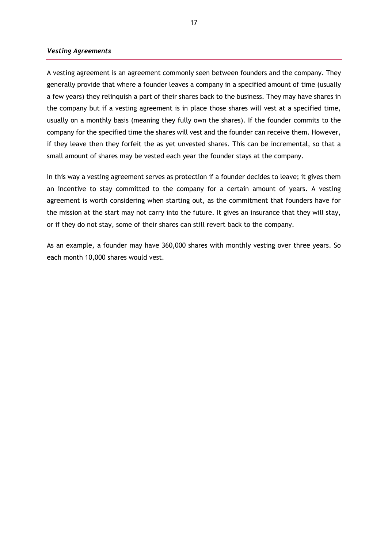#### <span id="page-16-0"></span>*Vesting Agreements*

A vesting agreement is an agreement commonly seen between founders and the company. They generally provide that where a founder leaves a company in a specified amount of time (usually a few years) they relinquish a part of their shares back to the business. They may have shares in the company but if a vesting agreement is in place those shares will vest at a specified time, usually on a monthly basis (meaning they fully own the shares). If the founder commits to the company for the specified time the shares will vest and the founder can receive them. However, if they leave then they forfeit the as yet unvested shares. This can be incremental, so that a small amount of shares may be vested each year the founder stays at the company.

In this way a vesting agreement serves as protection if a founder decides to leave; it gives them an incentive to stay committed to the company for a certain amount of years. A vesting agreement is worth considering when starting out, as the commitment that founders have for the mission at the start may not carry into the future. It gives an insurance that they will stay, or if they do not stay, some of their shares can still revert back to the company.

As an example, a founder may have 360,000 shares with monthly vesting over three years. So each month 10,000 shares would vest.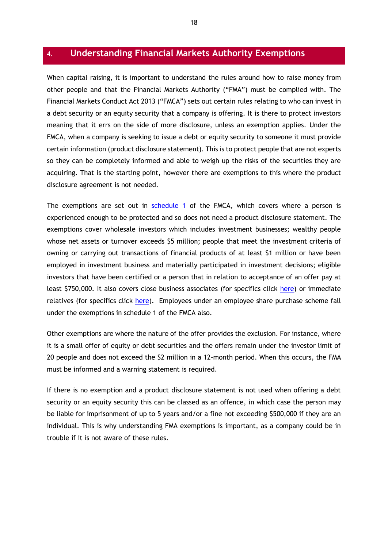## <span id="page-17-0"></span>4. **Understanding Financial Markets Authority Exemptions**

When capital raising, it is important to understand the rules around how to raise money from other people and that the Financial Markets Authority ("FMA") must be complied with. The Financial Markets Conduct Act 2013 ("FMCA") sets out certain rules relating to who can invest in a debt security or an equity security that a company is offering. It is there to protect investors meaning that it errs on the side of more disclosure, unless an exemption applies. Under the FMCA, when a company is seeking to issue a debt or equity security to someone it must provide certain information (product disclosure statement). This is to protect people that are not experts so they can be completely informed and able to weigh up the risks of the securities they are acquiring. That is the starting point, however there are exemptions to this where the product disclosure agreement is not needed.

The exemptions are set out in [schedule 1](https://www.legislation.govt.nz/act/public/2013/0069/latest/DLM4092365.html) of the FMCA, which covers where a person is experienced enough to be protected and so does not need a product disclosure statement. The exemptions cover wholesale investors which includes investment businesses; wealthy people whose net assets or turnover exceeds \$5 million; people that meet the investment criteria of owning or carrying out transactions of financial products of at least \$1 million or have been employed in investment business and materially participated in investment decisions; eligible investors that have been certified or a person that in relation to acceptance of an offer pay at least \$750,000. It also covers close business associates (for specifics click [here\)](https://www.legislation.govt.nz/act/public/2013/0069/latest/DLM4092374.html) or immediate relatives (for specifics click [here\)](https://www.legislation.govt.nz/act/public/2013/0069/latest/DLM4092378.html). Employees under an employee share purchase scheme fall under the exemptions in schedule 1 of the FMCA also.

Other exemptions are where the nature of the offer provides the exclusion. For instance, where it is a small offer of equity or debt securities and the offers remain under the investor limit of 20 people and does not exceed the \$2 million in a 12-month period. When this occurs, the FMA must be informed and a warning statement is required.

If there is no exemption and a product disclosure statement is not used when offering a debt security or an equity security this can be classed as an offence, in which case the person may be liable for imprisonment of up to 5 years and/or a fine not exceeding \$500,000 if they are an individual. This is why understanding FMA exemptions is important, as a company could be in trouble if it is not aware of these rules.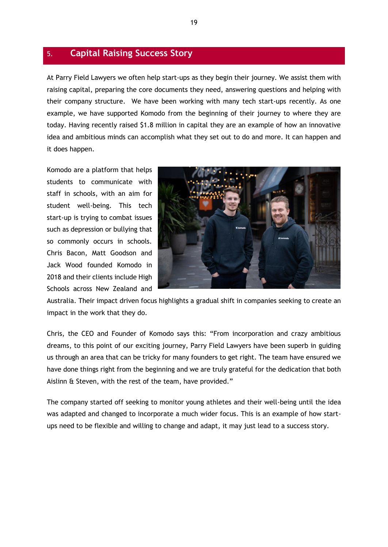## <span id="page-18-0"></span>5. **Capital Raising Success Story**

At Parry Field Lawyers we often help start-ups as they begin their journey. We assist them with raising capital, preparing the core documents they need, answering questions and helping with their company structure. We have been working with many tech start-ups recently. As one example, we have supported Komodo from the beginning of their journey to where they are today. Having recently raised \$1.8 million in capital they are an example of how an innovative idea and ambitious minds can accomplish what they set out to do and more. It can happen and it does happen.

Komodo are a platform that helps students to communicate with staff in schools, with an aim for student well-being. This tech start-up is trying to combat issues such as depression or bullying that so commonly occurs in schools. Chris Bacon, Matt Goodson and Jack Wood founded Komodo in 2018 and their clients include High Schools across New Zealand and



Australia. Their impact driven focus highlights a gradual shift in companies seeking to create an impact in the work that they do.

Chris, the CEO and Founder of Komodo says this: "From incorporation and crazy ambitious dreams, to this point of our exciting journey, Parry Field Lawyers have been superb in guiding us through an area that can be tricky for many founders to get right. The team have ensured we have done things right from the beginning and we are truly grateful for the dedication that both Aislinn & Steven, with the rest of the team, have provided."

The company started off seeking to monitor young athletes and their well-being until the idea was adapted and changed to incorporate a much wider focus. This is an example of how startups need to be flexible and willing to change and adapt, it may just lead to a success story.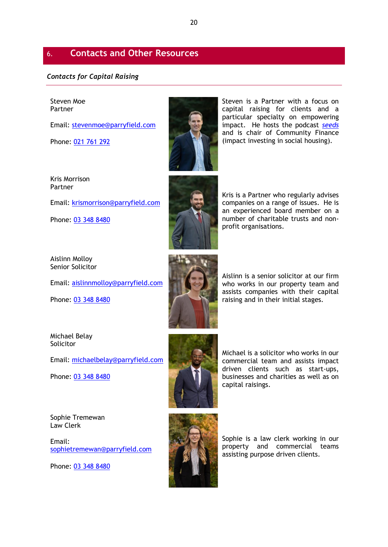## <span id="page-19-0"></span>6. **Contacts and Other Resources**

#### <span id="page-19-1"></span>*Contacts for Capital Raising*

#### Steven Moe Partner

Email: [stevenmoe@parryfield.com](mailto:stevenmoe@parryfield.com)

Phone: [021 761 292](tel:+6433488480)



Email: [krismorrison@parryfield.com](mailto:krismorrison@parryfield.com)

Phone: [03 348 8480](tel:+6433488480)

Aislinn Molloy Senior Solicitor

Email: [aislinnmolloy@parryfield.com](mailto:aislinnmolloy@parryfield.com)

Phone: [03 348 8480](tel:+6433488480)

Aislinn is a senior solicitor at our firm who works in our property team and assists companies with their capital raising and in their initial stages.

Michael is a solicitor who works in our commercial team and assists impact driven clients such as start-ups, businesses and charities as well as on

capital raisings.

Michael Belay Solicitor

Email: [michaelbelay@parryfield.com](mailto:michaelbelay@parryfield.com)

Phone: [03 348 8480](tel:+6433488480)

Sophie Tremewan Law Clerk

Email: [sophietremewan@parryfield.com](mailto:sophietremewan@parryfield.com)

Phone: [03 348 8480](tel:+6433488480)



Sophie is a law clerk working in our property and commercial teams assisting purpose driven clients.

Kris is a Partner who regularly advises companies on a range of issues. He is an experienced board member on a number of charitable trusts and nonprofit organisations.

Steven is a Partner with a focus on capital raising for clients and a particular specialty on empowering impact. He hosts the podcast *[seeds](http://www.theseeds.nz/)* and is chair of Community Finance (impact investing in social housing).